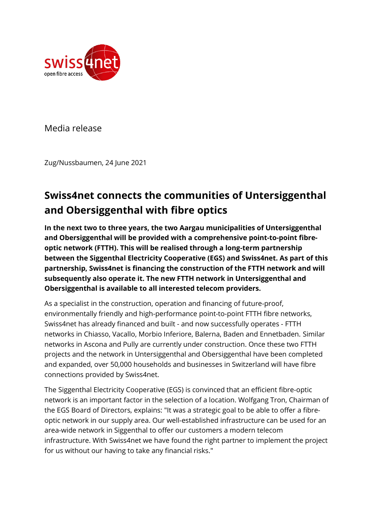

Media release

Zug/Nussbaumen, 24 June 2021

# **Swiss4net connects the communities of Untersiggenthal and Obersiggenthal with fibre optics**

**In the next two to three years, the two Aargau municipalities of Untersiggenthal and Obersiggenthal will be provided with a comprehensive point-to-point fibreoptic network (FTTH). This will be realised through a long-term partnership between the Siggenthal Electricity Cooperative (EGS) and Swiss4net. As part of this partnership, Swiss4net is financing the construction of the FTTH network and will subsequently also operate it. The new FTTH network in Untersiggenthal and Obersiggenthal is available to all interested telecom providers.** 

As a specialist in the construction, operation and financing of future-proof, environmentally friendly and high-performance point-to-point FTTH fibre networks, Swiss4net has already financed and built - and now successfully operates - FTTH networks in Chiasso, Vacallo, Morbio Inferiore, Balerna, Baden and Ennetbaden. Similar networks in Ascona and Pully are currently under construction. Once these two FTTH projects and the network in Untersiggenthal and Obersiggenthal have been completed and expanded, over 50,000 households and businesses in Switzerland will have fibre connections provided by Swiss4net.

The Siggenthal Electricity Cooperative (EGS) is convinced that an efficient fibre-optic network is an important factor in the selection of a location. Wolfgang Tron, Chairman of the EGS Board of Directors, explains: "It was a strategic goal to be able to offer a fibreoptic network in our supply area. Our well-established infrastructure can be used for an area-wide network in Siggenthal to offer our customers a modern telecom infrastructure. With Swiss4net we have found the right partner to implement the project for us without our having to take any financial risks."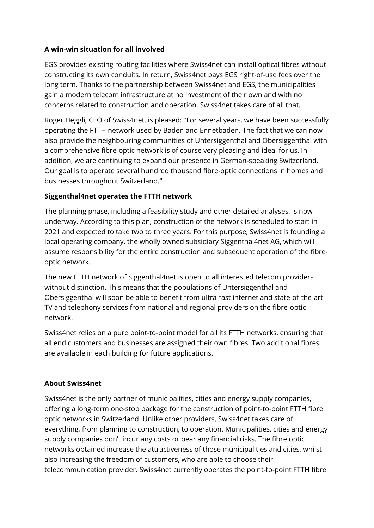### **A win-win situation for all involved**

EGS provides existing routing facilities where Swiss4net can install optical fibres without constructing its own conduits. In return, Swiss4net pays EGS right-of-use fees over the long term. Thanks to the partnership between Swiss4net and EGS, the municipalities gain a modern telecom infrastructure at no investment of their own and with no concerns related to construction and operation. Swiss4net takes care of all that.

Roger Heggli, CEO of Swiss4net, is pleased: "For several years, we have been successfully operating the FTTH network used by Baden and Ennetbaden. The fact that we can now also provide the neighbouring communities of Untersiggenthal and Obersiggenthal with a comprehensive fibre-optic network is of course very pleasing and ideal for us. In addition, we are continuing to expand our presence in German-speaking Switzerland. Our goal is to operate several hundred thousand fibre-optic connections in homes and businesses throughout Switzerland."

## **Siggenthal4net operates the FTTH network**

The planning phase, including a feasibility study and other detailed analyses, is now underway. According to this plan, construction of the network is scheduled to start in 2021 and expected to take two to three years. For this purpose, Swiss4net is founding a local operating company, the wholly owned subsidiary Siggenthal4net AG, which will assume responsibility for the entire construction and subsequent operation of the fibreoptic network.

The new FTTH network of Siggenthal4net is open to all interested telecom providers without distinction. This means that the populations of Untersiggenthal and Obersiggenthal will soon be able to benefit from ultra-fast internet and state-of-the-art TV and telephony services from national and regional providers on the fibre-optic network.

Swiss4net relies on a pure point-to-point model for all its FTTH networks, ensuring that all end customers and businesses are assigned their own fibres. Two additional fibres are available in each building for future applications.

### **About Swiss4net**

Swiss4net is the only partner of municipalities, cities and energy supply companies, offering a long-term one-stop package for the construction of point-to-point FTTH fibre optic networks in Switzerland. Unlike other providers, Swiss4net takes care of everything, from planning to construction, to operation. Municipalities, cities and energy supply companies don't incur any costs or bear any financial risks. The fibre optic networks obtained increase the attractiveness of those municipalities and cities, whilst also increasing the freedom of customers, who are able to choose their telecommunication provider. Swiss4net currently operates the point-to-point FTTH fibre